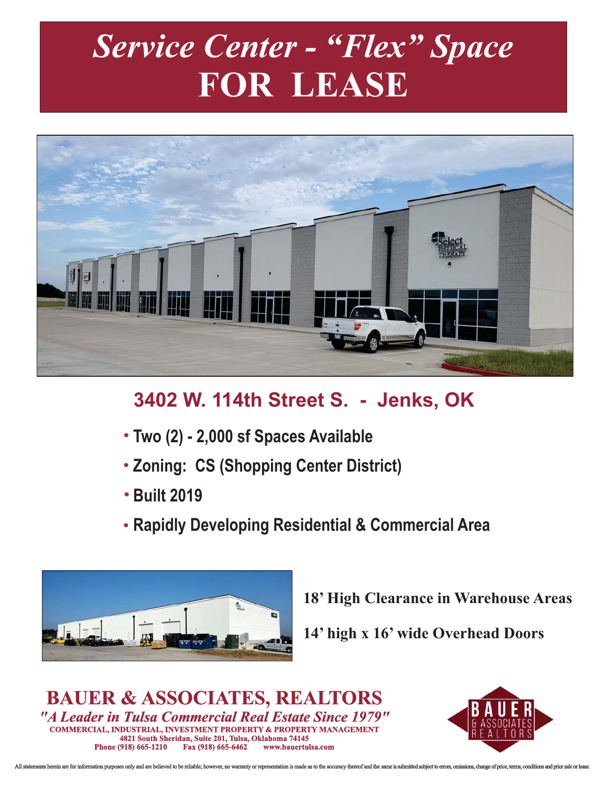## *Service Center - "Flex" Space* **FOR LEASE**



## **3402 W. 114th Street S. - Jenks, OK**

- **Two (2) 2,000 sf Spaces Available**
- **Zoning: CS (Shopping Center District)**
- **Built 2019**
- **Rapidly Developing Residential & Commercial Area**



**18' High Clearance in Warehouse Areas**

**14' high x 16' wide Overhead Doors**

*"A Leader in Tulsa Commercial Real Estate Since 1979"* **4821 South Sheridan, Suite 201, Tulsa, Oklahoma 74145 Phone (918) 665-1210 COMMERCIAL, INDUSTRIAL, INVESTMENT PROPERTY & PROPERTY MANAGEMENT BAUER & ASSOCIATES, REALTORS**